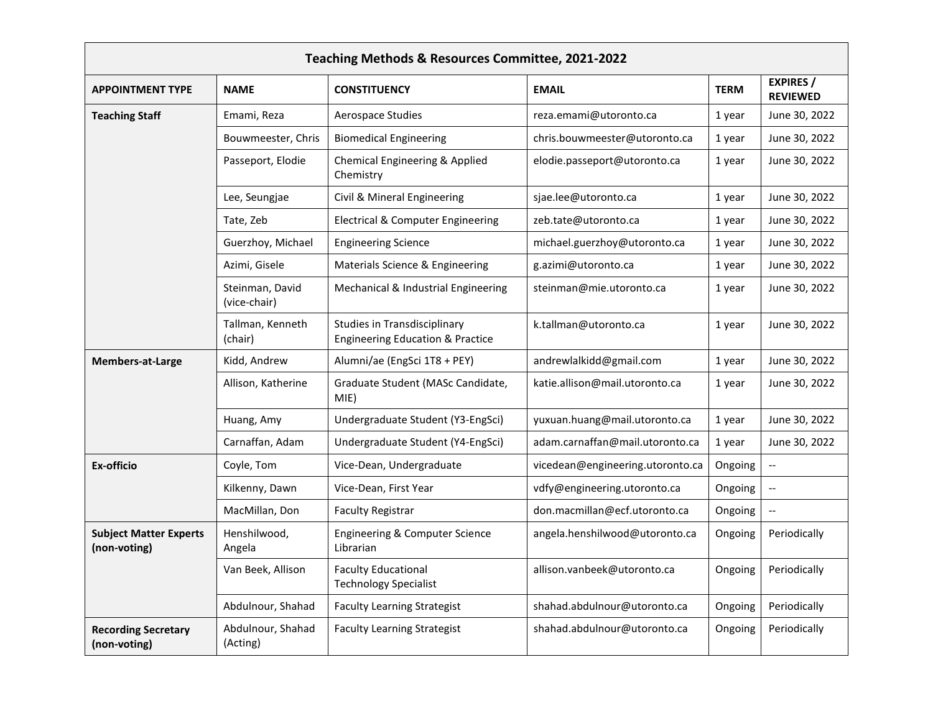| Teaching Methods & Resources Committee, 2021-2022 |                                 |                                                                             |                                  |             |                                     |
|---------------------------------------------------|---------------------------------|-----------------------------------------------------------------------------|----------------------------------|-------------|-------------------------------------|
| <b>APPOINTMENT TYPE</b>                           | <b>NAME</b>                     | <b>CONSTITUENCY</b>                                                         | <b>EMAIL</b>                     | <b>TERM</b> | <b>EXPIRES</b> /<br><b>REVIEWED</b> |
| <b>Teaching Staff</b>                             | Emami, Reza                     | Aerospace Studies                                                           | reza.emami@utoronto.ca           | 1 year      | June 30, 2022                       |
|                                                   | Bouwmeester, Chris              | <b>Biomedical Engineering</b>                                               | chris.bouwmeester@utoronto.ca    | 1 year      | June 30, 2022                       |
|                                                   | Passeport, Elodie               | Chemical Engineering & Applied<br>Chemistry                                 | elodie.passeport@utoronto.ca     | 1 year      | June 30, 2022                       |
|                                                   | Lee, Seungjae                   | Civil & Mineral Engineering                                                 | sjae.lee@utoronto.ca             | 1 year      | June 30, 2022                       |
|                                                   | Tate, Zeb                       | <b>Electrical &amp; Computer Engineering</b>                                | zeb.tate@utoronto.ca             | 1 year      | June 30, 2022                       |
|                                                   | Guerzhoy, Michael               | <b>Engineering Science</b>                                                  | michael.guerzhoy@utoronto.ca     | 1 year      | June 30, 2022                       |
|                                                   | Azimi, Gisele                   | Materials Science & Engineering                                             | g.azimi@utoronto.ca              | 1 year      | June 30, 2022                       |
|                                                   | Steinman, David<br>(vice-chair) | Mechanical & Industrial Engineering                                         | steinman@mie.utoronto.ca         | 1 year      | June 30, 2022                       |
|                                                   | Tallman, Kenneth<br>(chair)     | Studies in Transdisciplinary<br><b>Engineering Education &amp; Practice</b> | k.tallman@utoronto.ca            | 1 year      | June 30, 2022                       |
| Members-at-Large                                  | Kidd, Andrew                    | Alumni/ae (EngSci 1T8 + PEY)                                                | andrewlalkidd@gmail.com          | 1 year      | June 30, 2022                       |
|                                                   | Allison, Katherine              | Graduate Student (MASc Candidate,<br>MIE)                                   | katie.allison@mail.utoronto.ca   | 1 year      | June 30, 2022                       |
|                                                   | Huang, Amy                      | Undergraduate Student (Y3-EngSci)                                           | yuxuan.huang@mail.utoronto.ca    | 1 year      | June 30, 2022                       |
|                                                   | Carnaffan, Adam                 | Undergraduate Student (Y4-EngSci)                                           | adam.carnaffan@mail.utoronto.ca  | 1 year      | June 30, 2022                       |
| Ex-officio                                        | Coyle, Tom                      | Vice-Dean, Undergraduate                                                    | vicedean@engineering.utoronto.ca | Ongoing     | $\overline{\phantom{a}}$            |
|                                                   | Kilkenny, Dawn                  | Vice-Dean, First Year                                                       | vdfy@engineering.utoronto.ca     | Ongoing     | $\qquad \qquad -$                   |
|                                                   | MacMillan, Don                  | <b>Faculty Registrar</b>                                                    | don.macmillan@ecf.utoronto.ca    | Ongoing     |                                     |
| <b>Subject Matter Experts</b><br>(non-voting)     | Henshilwood,<br>Angela          | Engineering & Computer Science<br>Librarian                                 | angela.henshilwood@utoronto.ca   | Ongoing     | Periodically                        |
|                                                   | Van Beek, Allison               | <b>Faculty Educational</b><br><b>Technology Specialist</b>                  | allison.vanbeek@utoronto.ca      | Ongoing     | Periodically                        |
|                                                   | Abdulnour, Shahad               | <b>Faculty Learning Strategist</b>                                          | shahad.abdulnour@utoronto.ca     | Ongoing     | Periodically                        |
| <b>Recording Secretary</b><br>(non-voting)        | Abdulnour, Shahad<br>(Acting)   | <b>Faculty Learning Strategist</b>                                          | shahad.abdulnour@utoronto.ca     | Ongoing     | Periodically                        |